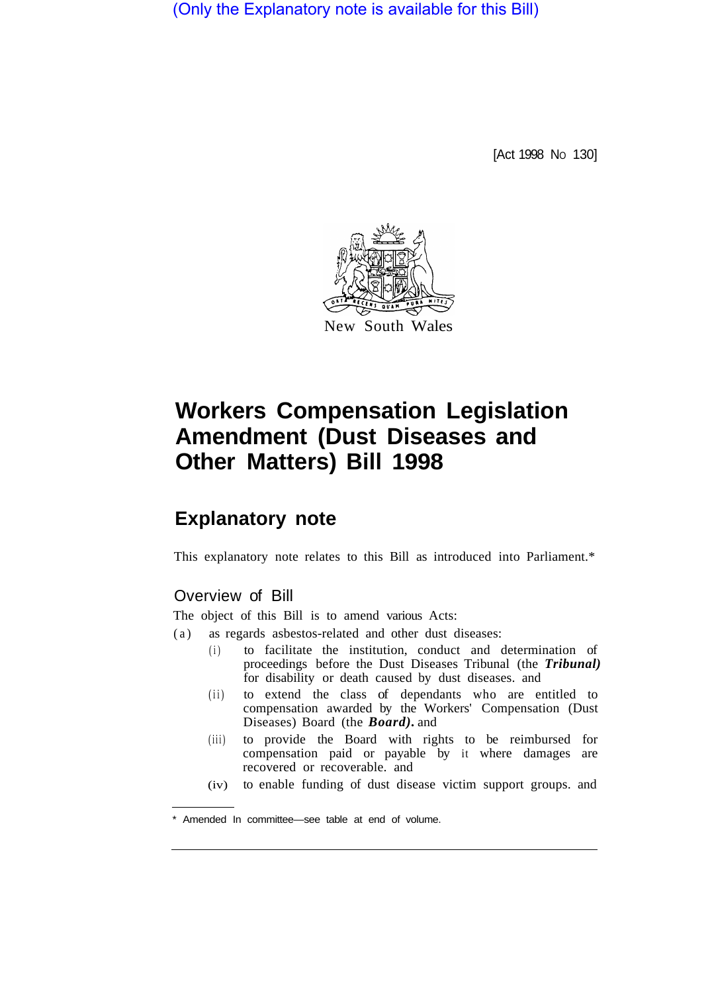(Only the Explanatory note is available for this Bill)

[Act 1998 No 130]



# **Workers Compensation Legislation Amendment (Dust Diseases and Other Matters) Bill 1998**

## **Explanatory note**

This explanatory note relates to this Bill as introduced into Parliament.\*

### Overview of Bill

The object of this Bill is to amend various Acts:

- (a) as regards asbestos-related and other dust diseases:
	- (i) to facilitate the institution, conduct and determination of proceedings before the Dust Diseases Tribunal (the *Tribunal)*  for disability or death caused by dust diseases. and
	- (ii) to extend the class of dependants who are entitled to compensation awarded by the Workers' Compensation (Dust Diseases) Board (the *Board).* and
	- (iii) to provide the Board with rights to be reimbursed for compensation paid or payable by it where damages are recovered or recoverable. and
	- (iv) to enable funding of dust disease victim support groups. and

Amended In committee—see table at end of volume.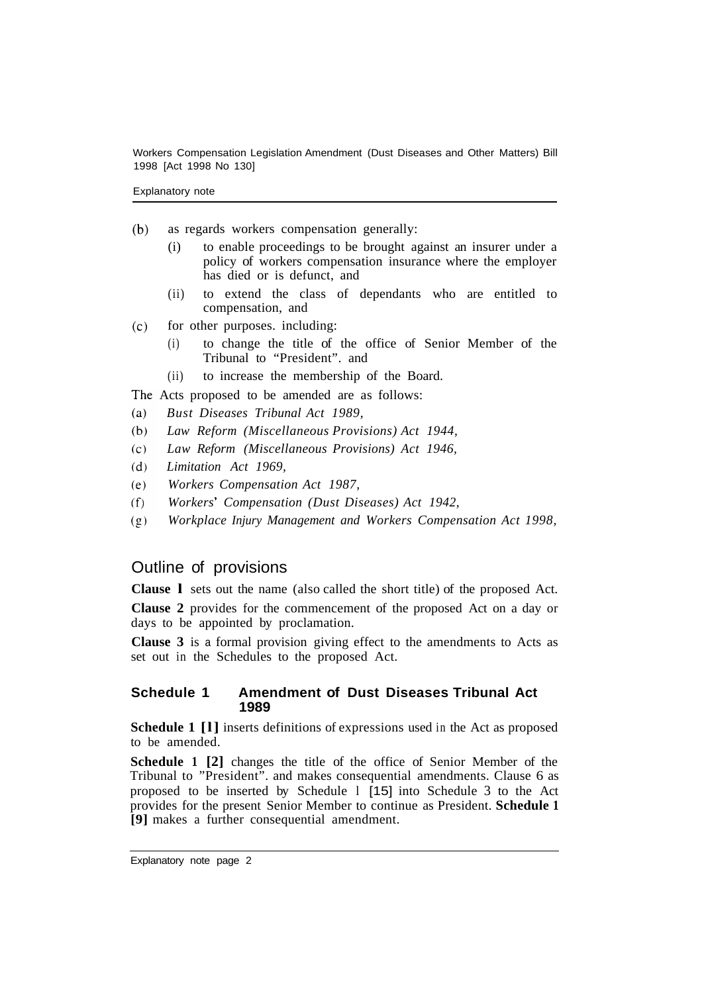Explanatory note

- $(b)$ as regards workers compensation generally:
	- (i) to enable proceedings to be brought against an insurer under a policy of workers compensation insurance where the employer has died or is defunct, and
	- (ii) to extend the class of dependants who are entitled to compensation, and
- $(c)$ for other purposes. including:
	- (i) to change the title of the office of Senior Member of the Tribunal to "President". and
	- (ii) to increase the membership of the Board.

The Acts proposed to be amended are as follows:

- *Bust Diseases Tribunal Act 1989,*   $(a)$
- $(b)$ *Law Reform (Miscellaneous Provisions) Act 1944,*
- $(c)$ *Law Reform (Miscellaneous Provisions) Act 1946,*
- $(d)$ *Limitation Act 1969,*
- *Workers Compensation Act 1987,*   $(e)$
- $(f)$ *Workers Compensation (Dust Diseases) Act 1942,*
- *Workplace Injury Management and Workers Compensation Act 1998,*   $(g)$

#### Outline of provisions

**Clause l** sets out the name (also called the short title) of the proposed Act.

**Clause 2** provides for the commencement of the proposed Act on a day or days to be appointed by proclamation.

**Clause 3** is a formal provision giving effect to the amendments to Acts as set out in the Schedules to the proposed Act.

#### **Schedule 1 Amendment of Dust Diseases Tribunal Act 1989**

**Schedule 1 [l]** inserts definitions of expressions used in the Act as proposed to be amended.

**Schedule 1 [2]** changes the title of the office of Senior Member of the Tribunal to "President". and makes consequential amendments. Clause 6 as proposed to be inserted by Schedule l [15] into Schedule 3 to the Act provides for the present Senior Member to continue as President. **Schedule 1 [9]** makes a further consequential amendment.

Explanatory note page 2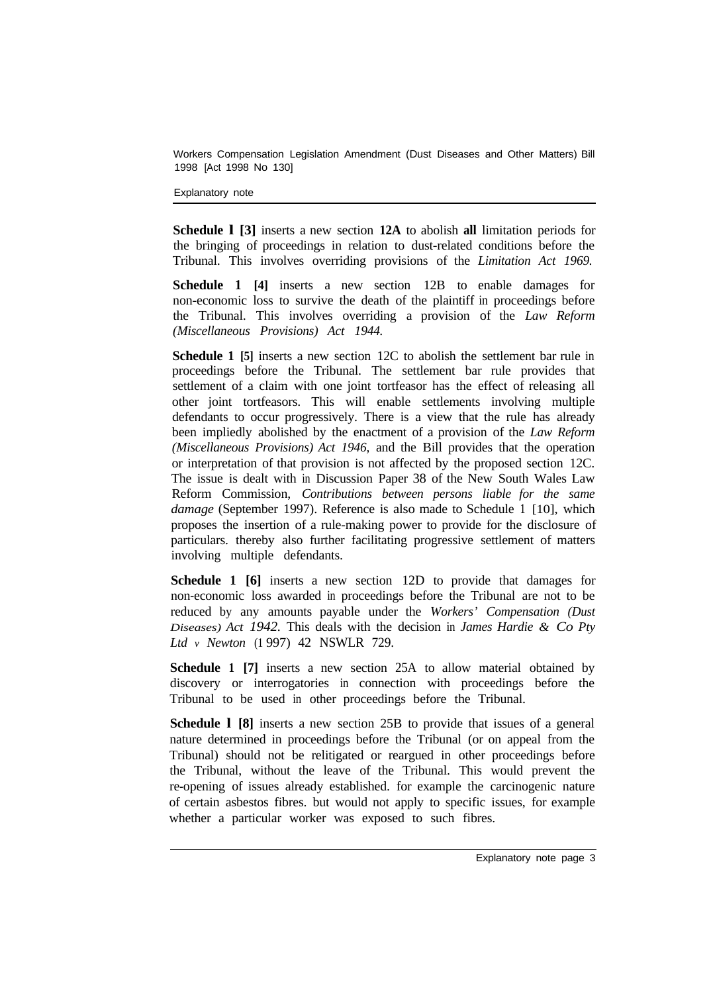Explanatory note

**Schedule l [3]** inserts a new section **12A** to abolish **all** limitation periods for the bringing of proceedings in relation to dust-related conditions before the Tribunal. This involves overriding provisions of the *Limitation Act 1969.* 

**Schedule 1 [4]** inserts a new section 12B to enable damages for non-economic loss to survive the death of the plaintiff in proceedings before the Tribunal. This involves overriding a provision of the *Law Reform (Miscellaneous Provisions) Act 1944.* 

**Schedule 1 [5]** inserts a new section 12C to abolish the settlement bar rule in proceedings before the Tribunal. The settlement bar rule provides that settlement of a claim with one joint tortfeasor has the effect of releasing all other joint tortfeasors. This will enable settlements involving multiple defendants to occur progressively. There is a view that the rule has already been impliedly abolished by the enactment of a provision of the *Law Reform (Miscellaneous Provisions) Act 1946,* and the Bill provides that the operation or interpretation of that provision is not affected by the proposed section 12C. The issue is dealt with in Discussion Paper 38 of the New South Wales Law Reform Commission, *Contributions between persons liable for the same damage* (September 1997). Reference is also made to Schedule 1 [10], which proposes the insertion of a rule-making power to provide for the disclosure of particulars. thereby also further facilitating progressive settlement of matters involving multiple defendants.

**Schedule 1 [6]** inserts a new section 12D to provide that damages for non-economic loss awarded in proceedings before the Tribunal are not to be reduced by any amounts payable under the *Workers' Compensation (Dust Diseases) Act 1942.* This deals with the decision in *James Hardie & Co Pty Ltd v Newton* (1 997) 42 NSWLR 729.

**Schedule 1 [7]** inserts a new section 25A to allow material obtained by discovery or interrogatories in connection with proceedings before the Tribunal to be used in other proceedings before the Tribunal.

**Schedule l [8]** inserts a new section 25B to provide that issues of a general nature determined in proceedings before the Tribunal (or on appeal from the Tribunal) should not be relitigated or reargued in other proceedings before the Tribunal, without the leave of the Tribunal. This would prevent the re-opening of issues already established. for example the carcinogenic nature of certain asbestos fibres. but would not apply to specific issues, for example whether a particular worker was exposed to such fibres.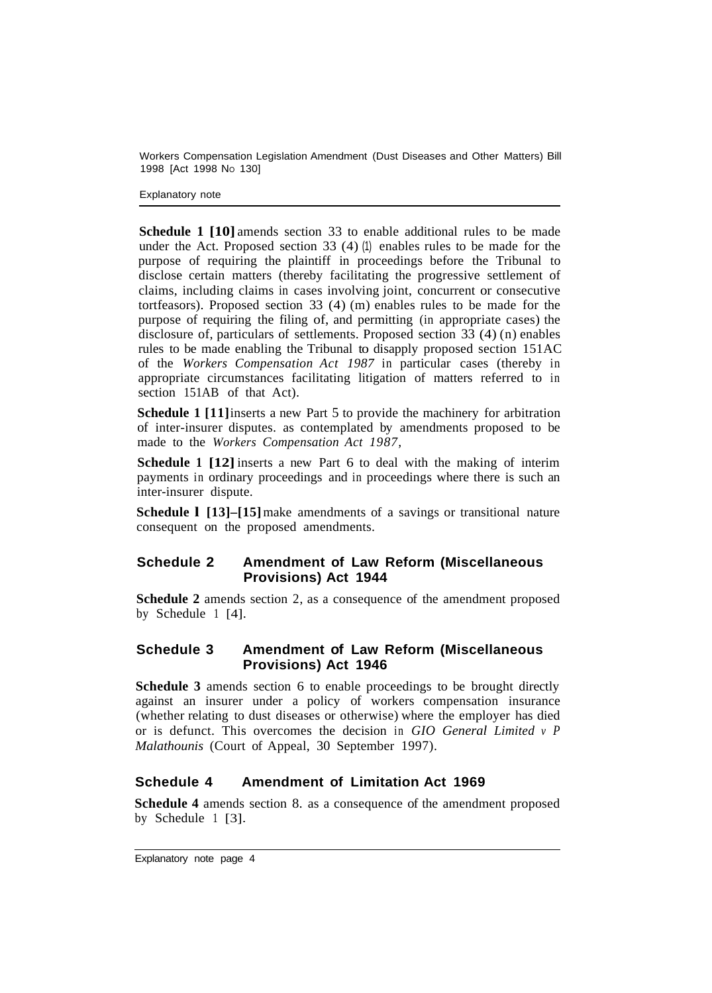Explanatory note

**Schedule 1 [10]** amends section 33 to enable additional rules to be made under the Act. Proposed section 33  $(4)$  (1) enables rules to be made for the purpose of requiring the plaintiff in proceedings before the Tribunal to disclose certain matters (thereby facilitating the progressive settlement of claims, including claims in cases involving joint, concurrent or consecutive tortfeasors). Proposed section 33 (4) (m) enables rules to be made for the purpose of requiring the filing of, and permitting (in appropriate cases) the disclosure of, particulars of settlements. Proposed section 33 (4) (n) enables rules to be made enabling the Tribunal to disapply proposed section 151AC of the *Workers Compensation Act 1987* in particular cases (thereby in appropriate circumstances facilitating litigation of matters referred to in section 151AB of that Act).

**Schedule 1** [11] inserts a new Part 5 to provide the machinery for arbitration of inter-insurer disputes. as contemplated by amendments proposed to be made to the *Workers Compensation Act 1987,* 

**Schedule 1 [12]** inserts a new Part 6 to deal with the making of interim payments in ordinary proceedings and in proceedings where there is such an inter-insurer dispute.

**Schedule 1 [13]–[15]** make amendments of a savings or transitional nature consequent on the proposed amendments.

#### **Schedule 2 Amendment of Law Reform (Miscellaneous Provisions) Act 1944**

**Schedule 2** amends section 2, as a consequence of the amendment proposed by Schedule 1 [4].

#### **Schedule 3 Amendment of Law Reform (Miscellaneous Provisions) Act 1946**

**Schedule 3** amends section 6 to enable proceedings to be brought directly against an insurer under a policy of workers compensation insurance (whether relating to dust diseases or otherwise) where the employer has died or is defunct. This overcomes the decision in *GIO General Limited v P Malathounis* (Court of Appeal, 30 September 1997).

#### **Schedule 4 Amendment of Limitation Act 1969**

**Schedule 4** amends section 8. as a consequence of the amendment proposed by Schedule 1 [3].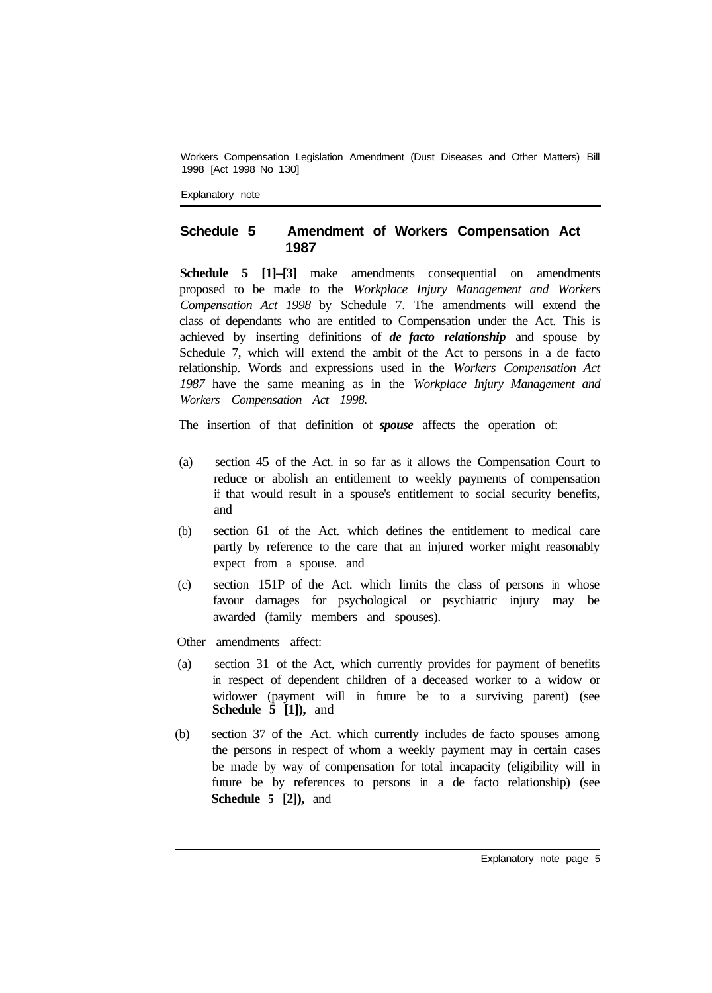Explanatory note

#### **Schedule 5 Amendment of Workers Compensation Act 1987**

**Schedule 5 [1]–[3]** make amendments consequential on amendments proposed to be made to the *Workplace Injury Management and Workers Compensation Act 1998* by Schedule 7. The amendments will extend the class of dependants who are entitled to Compensation under the Act. This is achieved by inserting definitions of *de facto relationship* and spouse by Schedule 7, which will extend the ambit of the Act to persons in a de facto relationship. Words and expressions used in the *Workers Compensation Act 1987* have the same meaning as in the *Workplace Injury Management and Workers Compensation Act 1998.* 

The insertion of that definition of *spouse* affects the operation of:

- (a) section 45 of the Act. in so far as it allows the Compensation Court to reduce or abolish an entitlement to weekly payments of compensation if that would result in a spouse's entitlement to social security benefits, and
- (b) section 61 of the Act. which defines the entitlement to medical care partly by reference to the care that an injured worker might reasonably expect from a spouse. and
- (c) section 151P of the Act. which limits the class of persons in whose favour damages for psychological or psychiatric injury may be awarded (family members and spouses).
- Other amendments affect:
- (a) section 31 of the Act, which currently provides for payment of benefits in respect of dependent children of a deceased worker to a widow or widower (payment will in future be to a surviving parent) (see  **Schedule 5 [1]),** and
- (b) section 37 of the Act. which currently includes de facto spouses among the persons in respect of whom a weekly payment may in certain cases be made by way of compensation for total incapacity (eligibility will in future be by references to persons in a de facto relationship) (see **Schedule 5 [2]),** and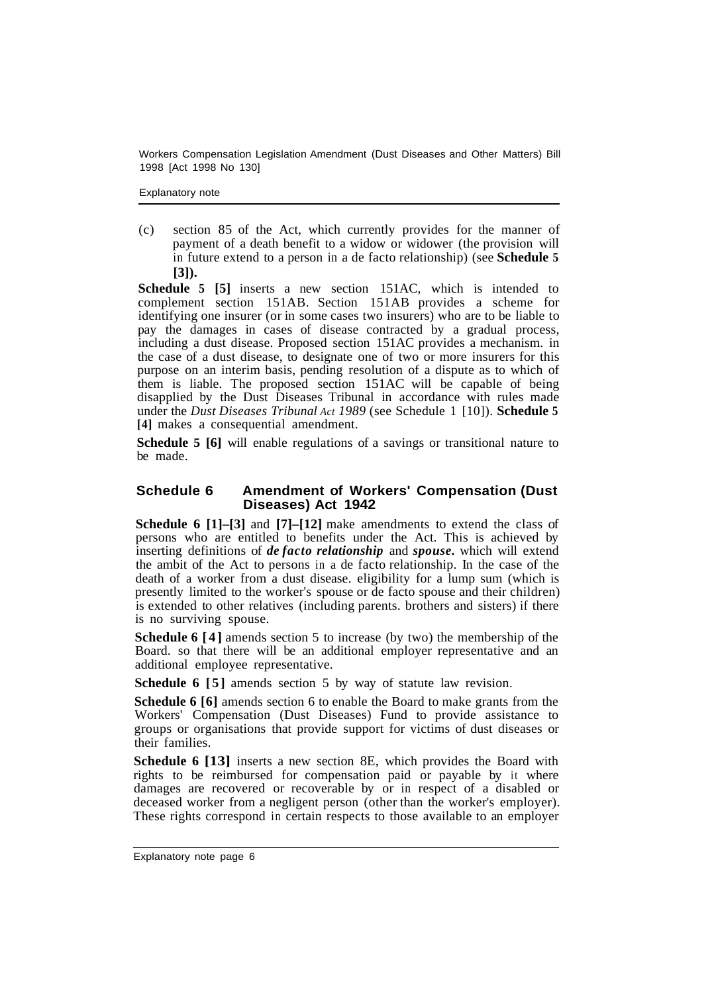Explanatory note

(c) section 85 of the Act, which currently provides for the manner of payment of a death benefit to a widow or widower (the provision will in future extend to a person in a de facto relationship) (see **Schedule 5 [3]).** 

**Schedule 5 [5]** inserts a new section 151AC, which is intended to complement section 151AB. Section 151AB provides a scheme for identifying one insurer (or in some cases two insurers) who are to be liable to pay the damages in cases of disease contracted by a gradual process, including a dust disease. Proposed section 151AC provides a mechanism. in the case of a dust disease, to designate one of two or more insurers for this purpose on an interim basis, pending resolution of a dispute as to which of them is liable. The proposed section 151AC will be capable of being disapplied by the Dust Diseases Tribunal in accordance with rules made under the *Dust Diseases Tribunal Act 1989* (see Schedule 1 [10]). **Schedule 5 [4]** makes a consequential amendment.

**Schedule 5 [6]** will enable regulations of a savings or transitional nature to be made.

#### **Schedule 6 Amendment of Workers' Compensation (Dust Diseases) Act 1942**

**Schedule 6 [1]–[3]** and **[7]–[12]** make amendments to extend the class of persons who are entitled to benefits under the Act. This is achieved by inserting definitions of *de facto relationship* and *spouse.* which will extend the ambit of the Act to persons in a de facto relationship. In the case of the death of a worker from a dust disease. eligibility for a lump sum (which is presently limited to the worker's spouse or de facto spouse and their children) is extended to other relatives (including parents. brothers and sisters) if there is no surviving spouse.

**Schedule 6 [4]** amends section 5 to increase (by two) the membership of the Board. so that there will be an additional employer representative and an additional employee representative.

**Schedule 6 [5]** amends section 5 by way of statute law revision.

**Schedule 6 [6]** amends section 6 to enable the Board to make grants from the Workers' Compensation (Dust Diseases) Fund to provide assistance to groups or organisations that provide support for victims of dust diseases or their families.

**Schedule 6 [13]** inserts a new section 8E, which provides the Board with rights to be reimbursed for compensation paid or payable by it where damages are recovered or recoverable by or in respect of a disabled or deceased worker from a negligent person (other than the worker's employer). These rights correspond in certain respects to those available to an employer